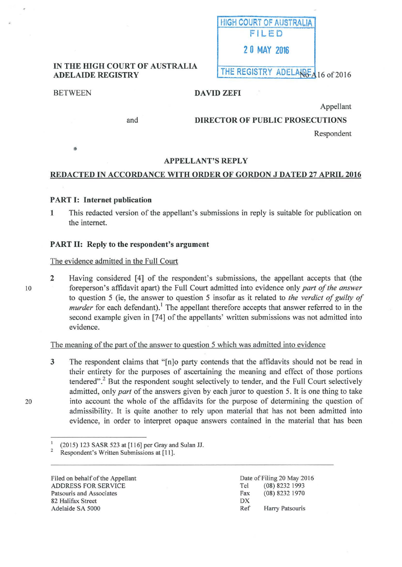

## IN THE HIGH COURT OF AUSTRALIA ADELAIDE REGISTRY AND LAND THE REGISTRY ADELANCE 16 of 2016

and

•

# BETWEEN DAVID ZEFI

Appellant

DIRECTOR OF PUBLIC PROSECUTIONS

Respondent

## APPELLANT'S REPLY

## REDACTED IN ACCORDANCE WITH ORDER OF GORDON J DATED 27 APRIL 2016

## PART I: Internet publication

1 This redacted version of the appellant's submissions in reply is suitable for publication on the intemet.

## PART II: Reply to the respondent's argument

## The evidence admitted in the Full Court

2 Having considered [4] of the respondent's submissions, the appellant accepts that (the foreperson's affidavit apart) the Full Court admitted into evidence only *part of the answer* to question 5 (ie, the answer to question 5 insofar as it related to *the verdict of guilty of murder* for each defendant).<sup>1</sup> The appellant therefore accepts that answer referred to in the second example given in [74] of the appellants' written submissions was not admitted into evidence.

The meaning of the part of the answer to question 5 which was admitted into evidence

3 The respondent claims that "[n]o party contends that the affidavits should not be read in their entirety for the purposes of ascertaining the meaning and effect of those portions tendered".<sup>2</sup> But the respondent sought selectively to tender, and the Full Court selectively admitted, only *part* of the answers given by each juror to question 5. It is one thing to take into account the whole of the affidavits for the purpose of determining the question of admissibility. It is quite another to rely upon material that has not been admitted into evidence, in order to interpret opaque answers contained in the material that has been

Filed on behalf of the Appellant ADDRESS FOR SERVICE Patsouris and Associates 82 Halifax Street Adelaide SA 5000

Date of Filing 20 May 2016 Tel (08) 8232 1993 Fax (08) 8232 1970 **DX** Ref Harry Patsouris

10

20

<sup>&</sup>lt;sup>1</sup> (2015) 123 SASR 523 at [116] per Gray and Sulan JJ.<br><sup>2</sup> Respondent's Written Submissions at [11].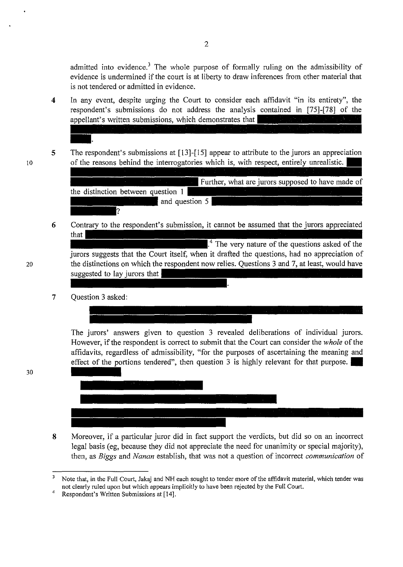admitted into evidence.<sup>3</sup> The whole purpose of formally ruling on the admissibility of evidence is undermined if the court is at liberty to draw inferences from other material that is not tendered or admitted in evidence.

- 4 In any event, despite urging the Court to consider each affidavit "in its entirety", the respondent's submissions do not address the analysis contained in [75]-[78] of the appellant's written submissions, which demonstrates that
- 5 The respondent's submissions at [13]-[15] appear to attribute to the jurors an appreciation of the reasons behind the interrogatories which is, with respect, entirely unrealistic.

Further, what are jurors supposed to have made of the distinction between question 1 and question 5 2

- Contrary to the respondent's submission, it cannot be assumed that the jurors appreciated 6 that  $1<sup>4</sup>$  The very nature of the questions asked of the jurors suggests that the Court itself, when it drafted the questions, had no appreciation of the distinctions on which the respondent now relies. Questions 3 and 7, at least, would have suggested to lay jurors that
- 7 Question 3 asked:

The jurors' answers given to question 3 revealed deliberations of individual jurors. However, if the respondent is correct to submit that the Court can consider the *whole* of the affidavits, regardless of admissibility, "for the purposes of ascertaining the meaning and effect of the portions tendered", then question 3 is highly relevant for that purpose.



8 Moreover, if a particular juror did in fact support the verdicts, but did so on an incorrect legal basis (eg, because they did not appreciate the need for unanimity or special majority), then, as *Biggs* and *Nanan* establish, that was not a question of incorrect *communication* of

30

10

<sup>&</sup>lt;sup>3</sup> Note that, in the Full Court, Jakaj and NH each sought to tender more of the affidavit material, which tender was not clearly ruled upon but which appears implicitly to have been rejected by the Full Court. Respondent's Written Submissions at [14].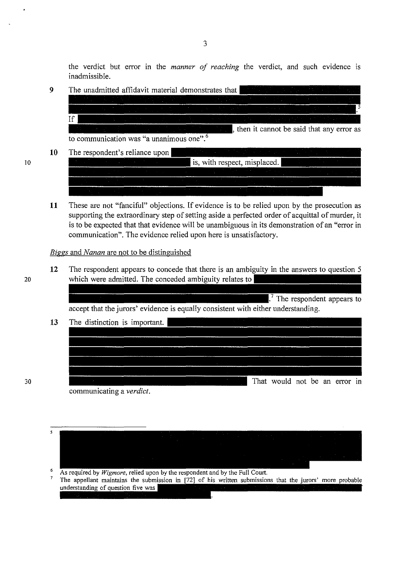the verdict but error in the *manner of reaching* the verdict, and such evidence is inadmissible.

- 9 The unadmitted affidavit material demonstrates that If  $\vert$ , then it cannot be said that any error as to communication was "a unanimous one".
- **10**  The respondent's reliance upon
	- is, with respect, misplaced.
- **11** These are not "fanciful" objections. If evidence is to be relied upon by the prosecution as supporting the extraordinary step of setting aside a perfected order of acquittal of murder, it is to be expected that that evidence will be unambiguous in its demonstration of an "error in communication". The evidence relied upon here is unsatisfactory.

*Biggs* and *Nanan* are not to be distinguished

**12** The respondent appears to concede that there is an ambiguity in the answers to question 5 20 which were admitted. The conceded ambiguity relates to

> $\mathbf{I}^7$ . The respondent appears to accept that the jurors' evidence is equally consistent with either understanding.

| 13 | The distinction is important. |                               |  |
|----|-------------------------------|-------------------------------|--|
|    |                               |                               |  |
|    |                               |                               |  |
|    |                               |                               |  |
|    |                               |                               |  |
|    |                               |                               |  |
|    |                               | That would not be an error in |  |

communicating a *verdict.* 

5

6 As required by Wigmore, relied upon by the respondent and by the Full Court.

 $\overline{7}$ The appellant maintains the submission in [72] of his written submissions that the jurors' more probable understanding of question five was

10

30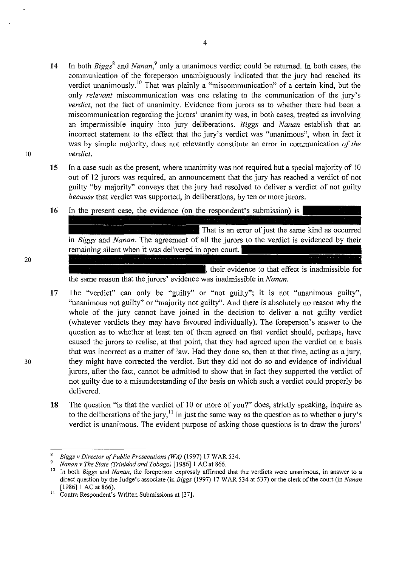- 14 In both *Biggs*<sup>8</sup> and *Nanan*,<sup>9</sup> only a unanimous verdict could be returned. In both cases, the communication of the foreperson unambiguously indicated that the jury had reached its verdict unanimously.<sup>10</sup> That was plainly a "miscommunication" of a certain kind, but the only *relevant* miscommunication was one relating to the communication of the jury's *verdict,* not the fact of unanimity. Evidence from jurors as to whether there had been a miscommunication regarding the jurors' unanimity was, in both cases, treated as involving an impermissible inquiry into jury deliberations. *Biggs* and *Nanan* establish that an incorrect statement to the effect that the jury's verdict was "unanimous", when in fact it was by simple majority, does not relevantly constitute an error in communication *of the*  10 *verdict.* 
	- **15** In a case such as the present, where unanimity was not required but a special majority of 10 out of 12 jurors was required, an announcement that the jury has reached a verdict of not guilty "by majority" conveys that the jury had resolved to deliver a verdict of not guilty *because* that verdict was supported, in deliberations, by ten or more jurors.
	- **16**  In the present case, the evidence (on the respondent's submission) is That is an error of just the same kind as occurred in *Biggs* and *Nanan*. The agreement of all the jurors to the verdict is evidenced by their remaining silent when it was delivered in open court.
		- their evidence to that effect is inadmissible for the same reason that the jurors' evidence was inadmissible in *Nanan.*
- 17 The "verdict" can only be "guilty" or "not guilty"; it is not "unanimous guilty", "unanimous not guilty" or "majority not guilty". And there is absolutely no reason why the whole of the jury cannot have joined in the decision to deliver a not guilty verdict (whatever verdicts they may have favoured individually). The foreperson's answer to the question as to whether at least ten of them agreed on that verdict should, perhaps, have caused the jurors to realise, at that point, that they had agreed upon the verdict on a basis that was incorrect as a matter of law. Had they done so, then at that time, acting as a jury, 30 they might have corrected the verdict. But they did not do so and evidence of individual jurors, after the fact, cannot be admitted to show that in fact they supported the verdict of not guilty due to a misunderstanding of the basis on which such a verdict could properly be delivered.
	- 18 The question "is that the verdict of 10 or more of you?" does, strictly speaking, inquire as to the deliberations of the jury,<sup>11</sup> in just the same way as the question as to whether a jury's verdict is unanimous. The evident purpose of asking those questions is to draw the jurors'

<sup>&</sup>lt;sup>8</sup> Biggs v Director of Public Prosecutions (WA) (1997) 17 WAR 534.<br><sup>9</sup> Nanan v The State (Trinidad and Tobago) [1986] 1 AC at 866.<br><sup>10</sup> In both Biggs and Nanan, the foreperson expressly affirmed that the verdicts were un direct question by the Judge's associate (in *Biggs* (1997) 17 WAR 534 at 537) or the clerk of the court (in *Nanan*  [1986] 1 AC at 866). <sup>11</sup> Contra Respondent's Written Submissions at [37].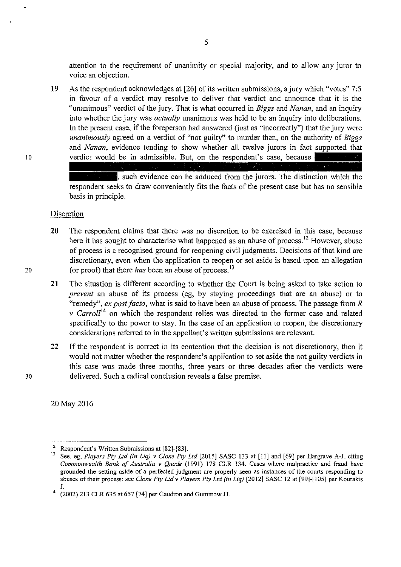attention to the requirement of unanimity or special majority, and to allow any juror to voice an objection.

19 As the respondent acknowledges at [26] of its written submissions, a jury which "votes" 7:5 in favour of a verdict may resolve to deliver that verdict and announce that it is the "unanimous" verdict of the jury. That is what occurred in *Biggs* and *Nanan,* and an inquiry into whether the jury was *actually* unanimous was held to be an inquiry into deliberations. In the present case, if the foreperson had answered (just as "incorrectly") that the jury were *unanimously* agreed on a verdict of "not guilty" to murder then, on the authority of *Biggs*  and *Nanan*, evidence tending to show whether all twelve jurors in fact supported that 10 verdict would be in admissible. But, on the respondent's case, because

> such evidence can be adduced from the jurors. The distinction which the respondent seeks to draw conveniently fits the facts of the present case but has no sensible basis in principle.

#### Discretion

- 20 The respondent claims that there was no discretion to be exercised in this case, because here it has sought to characterise what happened as an abuse of process.<sup>12</sup> However, abuse of process is a recognised ground for reopening civil judgments. Decisions of that kind are discretionary, even when the application to reopen or set aside is based upon an allegation 20 (or proof) that there *has* been an abuse of process. 13
	- 21 The situation is different according to whether the Court is being asked to take action to *prevent* an abuse of its process (eg, by staying proceedings that are an abuse) or to "remedy", *ex post facto,* what is said to have been an abuse of process. The passage from *R*  v Carroll<sup>14</sup> on which the respondent relies was directed to the former case and related specifically to the power to stay. In the case of an application to reopen, the discretionary considerations referred to in the appellant's written submissions are relevant.
- 22 If the respondent is correct in its contention that the decision is not discretionary, then it would not matter whether the respondent's application to set aside the not guilty verdicts in this case was made three months, three years or three decades after the verdicts were 30 delivered. Such a radical conclusion reveals a false premise.

20 May2016

<sup>&</sup>lt;sup>12</sup> Respondent's Written Submissions at [82]-[83].<br><sup>13</sup> See, eg, *Players Pty Ltd (in Liq) v Clone Pty Ltd* [2015] SASC 133 at [11] and [69] per Hargrave A-J, citing *Commonwealth Bank of Australia v Quade* (1991) 178 CLR 134. Cases where malpractice and fraud have grounded the setting aside of a perfected judgment are properly seen as instances of the courts responding to abuses of their process: see *Clone Pty Ltd v Players Pty Ltd (in* Liq) [2012] SASC 12 at [99]-[105] per Kourakis J.

 $14$  (2002) 213 CLR 635 at 657 [74] per Gaudron and Gummow JJ.